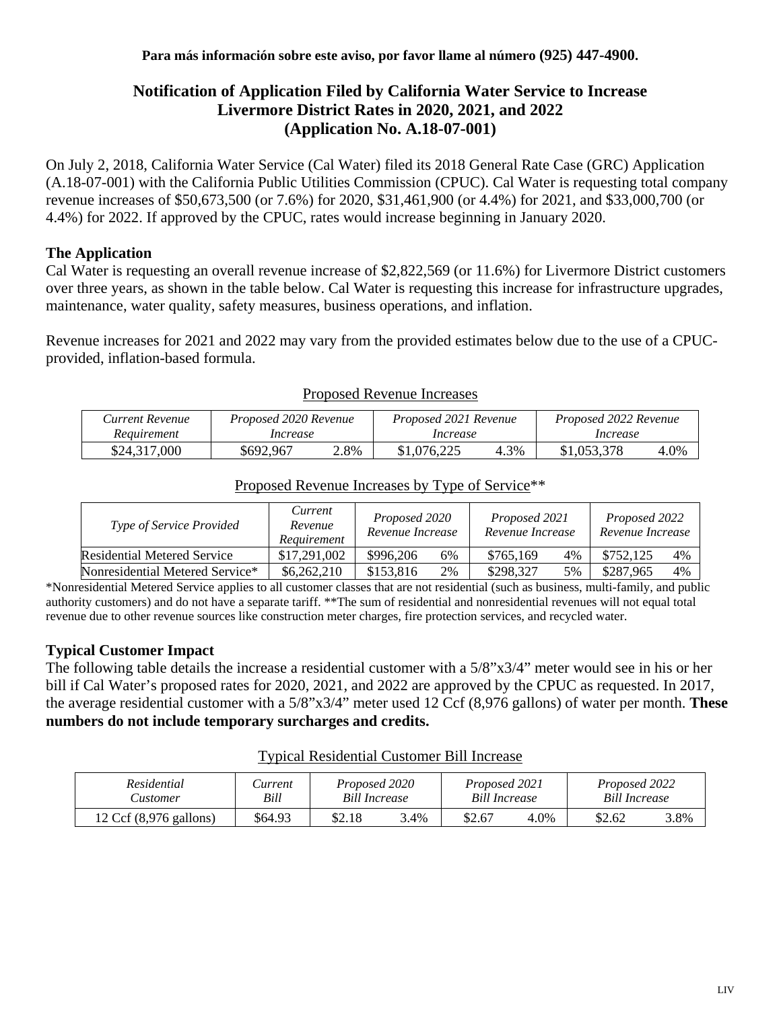# **Notification of Application Filed by California Water Service to Increase Livermore District Rates in 2020, 2021, and 2022 (Application No. A.18-07-001)**

On July 2, 2018, California Water Service (Cal Water) filed its 2018 General Rate Case (GRC) Application (A.18-07-001) with the California Public Utilities Commission (CPUC). Cal Water is requesting total company revenue increases of \$50,673,500 (or 7.6%) for 2020, \$31,461,900 (or 4.4%) for 2021, and \$33,000,700 (or 4.4%) for 2022. If approved by the CPUC, rates would increase beginning in January 2020.

### **The Application**

Cal Water is requesting an overall revenue increase of \$2,822,569 (or 11.6%) for Livermore District customers over three years, as shown in the table below. Cal Water is requesting this increase for infrastructure upgrades, maintenance, water quality, safety measures, business operations, and inflation.

Revenue increases for 2021 and 2022 may vary from the provided estimates below due to the use of a CPUCprovided, inflation-based formula.

| Current Revenue | Proposed 2020 Revenue |      | Proposed 2021 Revenue |      | Proposed 2022 Revenue |      |  |
|-----------------|-----------------------|------|-----------------------|------|-----------------------|------|--|
| Requirement     | Increase              |      | Increase              |      | Increase              |      |  |
| \$24,317,000    | \$692.967             | 2.8% | \$1,076,225           | 4.3% | \$1,053,378           | 4.0% |  |

#### Proposed Revenue Increases

| Type of Service Provided        | Current<br>Revenue<br>Requirement | Proposed 2020<br>Revenue Increase |    | Proposed 2021<br>Revenue Increase |    | Proposed 2022<br>Revenue Increase |    |
|---------------------------------|-----------------------------------|-----------------------------------|----|-----------------------------------|----|-----------------------------------|----|
| Residential Metered Service     | \$17,291,002                      | \$996,206                         | 6% | \$765,169                         | 4% | \$752,125                         | 4% |
| Nonresidential Metered Service* | \$6,262,210                       | \$153,816                         | 2% | \$298,327                         | 5% | \$287.965                         | 4% |

# Proposed Revenue Increases by Type of Service\*\*

\*Nonresidential Metered Service applies to all customer classes that are not residential (such as business, multi-family, and public authority customers) and do not have a separate tariff. \*\*The sum of residential and nonresidential revenues will not equal total revenue due to other revenue sources like construction meter charges, fire protection services, and recycled water.

# **Typical Customer Impact**

The following table details the increase a residential customer with a 5/8"x3/4" meter would see in his or her bill if Cal Water's proposed rates for 2020, 2021, and 2022 are approved by the CPUC as requested. In 2017, the average residential customer with a 5/8"x3/4" meter used 12 Ccf (8,976 gallons) of water per month. **These numbers do not include temporary surcharges and credits.**

#### Typical Residential Customer Bill Increase

| Residential                      | Current | Proposed 2020        |      | Proposed 2021        |      | Proposed 2022 |      |
|----------------------------------|---------|----------------------|------|----------------------|------|---------------|------|
| <b>Lustomer</b>                  | Bill    | <b>Bill Increase</b> |      | <b>Bill Increase</b> |      | Bill Increase |      |
| 12 Ccf $(8,976 \text{ gallons})$ | \$64.93 | \$2.18               | 3.4% | \$2.67               | 4.0% | \$2.62        | 3.8% |